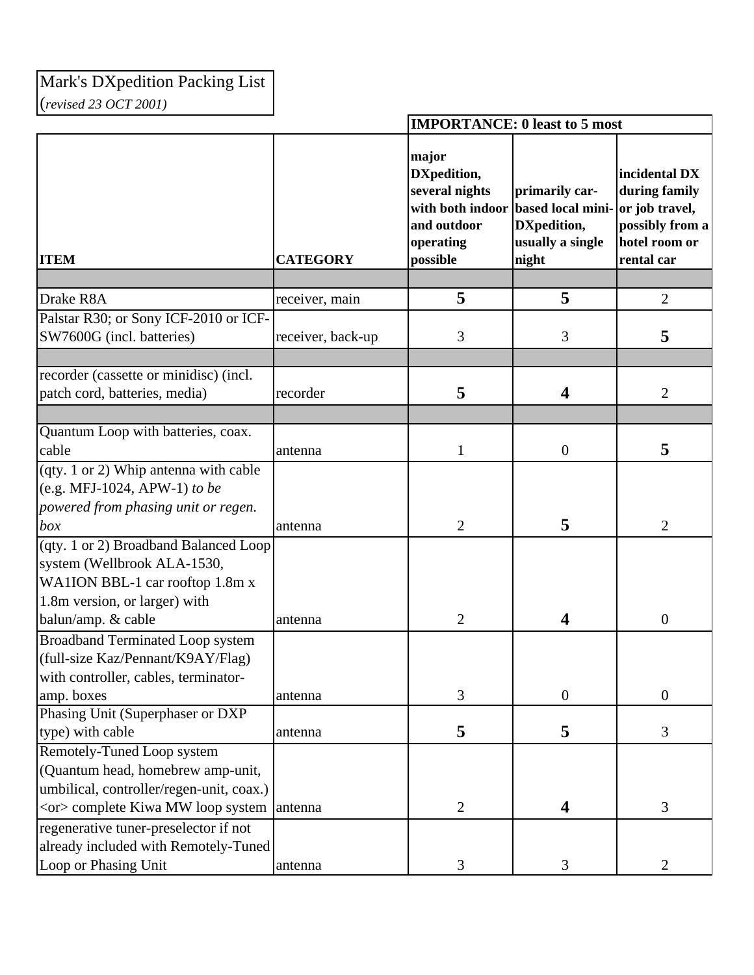## Mark's DXpedition Packing List (*revised 23 OCT 2001)*

|                                                                                                                      |                   | <b>IMPORTANCE: 0 least to 5 most</b>                                                               |                                                                                 |                                                                                                    |
|----------------------------------------------------------------------------------------------------------------------|-------------------|----------------------------------------------------------------------------------------------------|---------------------------------------------------------------------------------|----------------------------------------------------------------------------------------------------|
| <b>ITEM</b>                                                                                                          | <b>CATEGORY</b>   | major<br>DXpedition,<br>several nights<br>with both indoor<br>and outdoor<br>operating<br>possible | primarily car-<br>based local mini-<br>DXpedition,<br>usually a single<br>night | incidental DX<br>during family<br>or job travel,<br>possibly from a<br>hotel room or<br>rental car |
|                                                                                                                      |                   |                                                                                                    |                                                                                 |                                                                                                    |
| Drake R8A                                                                                                            | receiver, main    | 5                                                                                                  | 5                                                                               | $\overline{2}$                                                                                     |
| Palstar R30; or Sony ICF-2010 or ICF-                                                                                |                   |                                                                                                    |                                                                                 |                                                                                                    |
| SW7600G (incl. batteries)                                                                                            | receiver, back-up | 3                                                                                                  | 3                                                                               | 5                                                                                                  |
|                                                                                                                      |                   |                                                                                                    |                                                                                 |                                                                                                    |
| recorder (cassette or minidisc) (incl.                                                                               |                   |                                                                                                    |                                                                                 |                                                                                                    |
| patch cord, batteries, media)                                                                                        | recorder          | 5                                                                                                  | $\overline{\mathbf{4}}$                                                         | $\overline{2}$                                                                                     |
|                                                                                                                      |                   |                                                                                                    |                                                                                 |                                                                                                    |
| Quantum Loop with batteries, coax.                                                                                   |                   |                                                                                                    |                                                                                 |                                                                                                    |
| cable                                                                                                                | antenna           | 1                                                                                                  | $\boldsymbol{0}$                                                                | 5                                                                                                  |
| (qty. 1 or 2) Whip antenna with cable<br>(e.g. MFJ-1024, APW-1) to be<br>powered from phasing unit or regen.         |                   |                                                                                                    |                                                                                 |                                                                                                    |
| box                                                                                                                  | antenna           | $\overline{2}$                                                                                     | 5                                                                               | $\overline{2}$                                                                                     |
| (qty. 1 or 2) Broadband Balanced Loop                                                                                |                   |                                                                                                    |                                                                                 |                                                                                                    |
| system (Wellbrook ALA-1530,<br>WA1ION BBL-1 car rooftop 1.8m x<br>1.8m version, or larger) with                      |                   |                                                                                                    |                                                                                 |                                                                                                    |
| balun/amp. & cable                                                                                                   | antenna           | $\overline{2}$                                                                                     | $\overline{\mathbf{4}}$                                                         | $\boldsymbol{0}$                                                                                   |
| <b>Broadband Terminated Loop system</b><br>(full-size Kaz/Pennant/K9AY/Flag)<br>with controller, cables, terminator- |                   |                                                                                                    |                                                                                 |                                                                                                    |
| amp. boxes                                                                                                           | antenna           | 3                                                                                                  | $\boldsymbol{0}$                                                                | $\overline{0}$                                                                                     |
| Phasing Unit (Superphaser or DXP                                                                                     |                   |                                                                                                    |                                                                                 |                                                                                                    |
| type) with cable                                                                                                     | antenna           | 5                                                                                                  | 5                                                                               | 3                                                                                                  |
| Remotely-Tuned Loop system                                                                                           |                   |                                                                                                    |                                                                                 |                                                                                                    |
| (Quantum head, homebrew amp-unit,                                                                                    |                   |                                                                                                    |                                                                                 |                                                                                                    |
| umbilical, controller/regen-unit, coax.)                                                                             |                   |                                                                                                    |                                                                                 |                                                                                                    |
| <or> complete Kiwa MW loop system antenna</or>                                                                       |                   | $\overline{2}$                                                                                     | $\overline{\mathbf{4}}$                                                         | 3                                                                                                  |
| regenerative tuner-preselector if not                                                                                |                   |                                                                                                    |                                                                                 |                                                                                                    |
| already included with Remotely-Tuned                                                                                 |                   |                                                                                                    |                                                                                 |                                                                                                    |
| Loop or Phasing Unit                                                                                                 | antenna           | 3                                                                                                  | 3                                                                               | $\overline{2}$                                                                                     |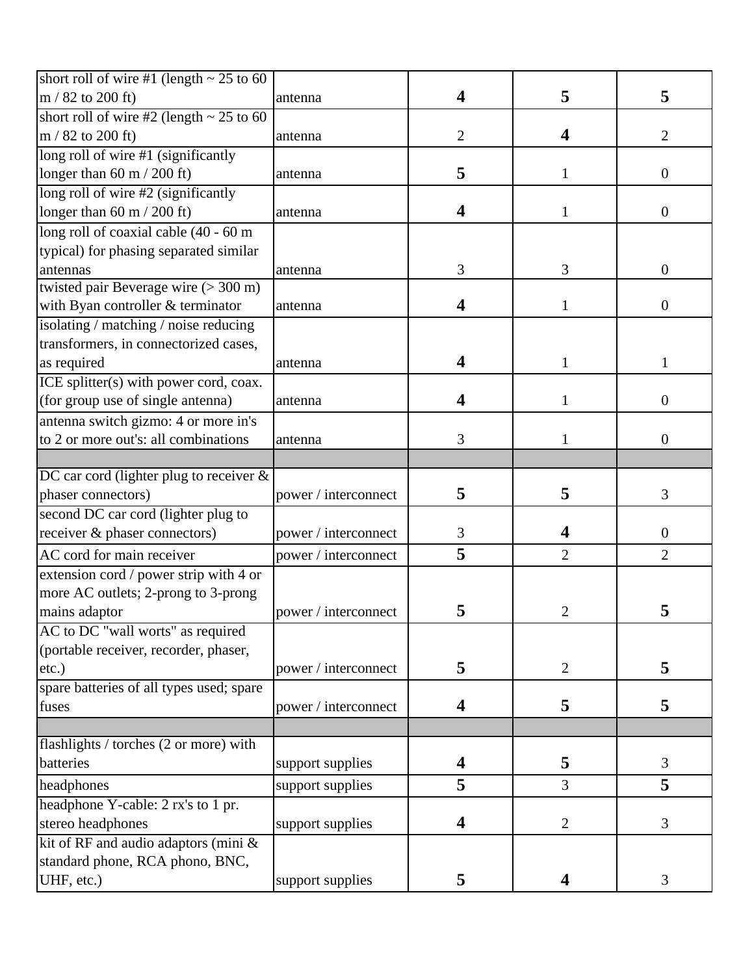| short roll of wire #1 (length $\sim$ 25 to 60 |                      |                         |                |                  |
|-----------------------------------------------|----------------------|-------------------------|----------------|------------------|
| $m / 82$ to 200 ft)                           | antenna              | 4                       | 5              | 5                |
| short roll of wire #2 (length $\sim$ 25 to 60 |                      |                         |                |                  |
| $m / 82$ to 200 ft)                           | antenna              | $\overline{2}$          | 4              | $\overline{2}$   |
| long roll of wire #1 (significantly           |                      |                         |                |                  |
| longer than 60 m / 200 ft)                    | antenna              | 5                       | $\mathbf{1}$   | $\overline{0}$   |
| long roll of wire #2 (significantly           |                      |                         |                |                  |
| longer than $60 \text{ m}$ / 200 ft)          | antenna              | $\overline{\mathbf{4}}$ | 1              | $\overline{0}$   |
| long roll of coaxial cable (40 - 60 m         |                      |                         |                |                  |
| typical) for phasing separated similar        |                      |                         |                |                  |
| antennas                                      | antenna              | 3                       | 3              | $\boldsymbol{0}$ |
| twisted pair Beverage wire $(>300 \text{ m})$ |                      |                         |                |                  |
| with Byan controller & terminator             | antenna              | 4                       | 1              | $\boldsymbol{0}$ |
| isolating / matching / noise reducing         |                      |                         |                |                  |
| transformers, in connectorized cases,         |                      |                         |                |                  |
| as required                                   | antenna              | 4                       | $\mathbf{1}$   | 1                |
| ICE splitter(s) with power cord, coax.        |                      |                         |                |                  |
| (for group use of single antenna)             | antenna              | 4                       | 1              | $\boldsymbol{0}$ |
| antenna switch gizmo: 4 or more in's          |                      |                         |                |                  |
| to 2 or more out's: all combinations          | antenna              | 3                       | 1              | $\boldsymbol{0}$ |
|                                               |                      |                         |                |                  |
| DC car cord (lighter plug to receiver $\&$    |                      |                         |                |                  |
| phaser connectors)                            | power / interconnect | 5                       | 5              | 3                |
| second DC car cord (lighter plug to           |                      |                         |                |                  |
| receiver & phaser connectors)                 | power / interconnect | $\mathfrak{Z}$          | 4              | $\overline{0}$   |
| AC cord for main receiver                     | power / interconnect | 5                       | $\overline{2}$ | $\overline{2}$   |
| extension cord / power strip with 4 or        |                      |                         |                |                  |
| more AC outlets; 2-prong to 3-prong           |                      |                         |                |                  |
| mains adaptor                                 | power / interconnect | 5                       | 2              | 5                |
| AC to DC "wall worts" as required             |                      |                         |                |                  |
| (portable receiver, recorder, phaser,         |                      |                         |                |                  |
| etc.)                                         | power / interconnect | 5                       | $\overline{2}$ | 5                |
| spare batteries of all types used; spare      |                      |                         |                |                  |
| fuses                                         | power / interconnect | $\overline{\mathbf{4}}$ | 5              | 5                |
|                                               |                      |                         |                |                  |
| flashlights / torches (2 or more) with        |                      |                         |                |                  |
| batteries                                     | support supplies     | 4                       | 5              | 3                |
| headphones                                    | support supplies     | 5                       | 3              | 5                |
| headphone Y-cable: 2 rx's to 1 pr.            |                      |                         |                |                  |
| stereo headphones                             | support supplies     | $\overline{\mathbf{4}}$ | $\mathbf{2}$   | 3                |
| kit of RF and audio adaptors (mini &          |                      |                         |                |                  |
| standard phone, RCA phono, BNC,               |                      |                         |                |                  |
| UHF, etc.)                                    | support supplies     | 5                       | 4              | 3                |